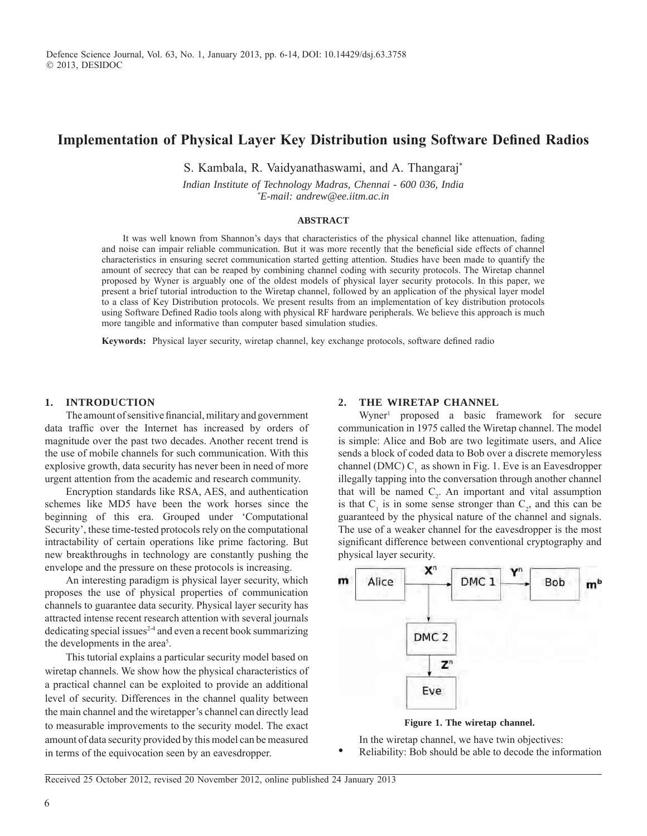# **Implementation of Physical Layer Key Distribution using Software Defined Radios**

S. Kambala, R. Vaidyanathaswami, and A. Thangaraj\*

*Indian Institute of Technology Madras, Chennai - 600 036, India \* E-mail: andrew@ee.iitm.ac.in*

## **Abstract**

It was well known from Shannon's days that characteristics of the physical channel like attenuation, fading and noise can impair reliable communication. But it was more recently that the beneficial side effects of channel characteristics in ensuring secret communication started getting attention. Studies have been made to quantify the amount of secrecy that can be reaped by combining channel coding with security protocols. The Wiretap channel proposed by Wyner is arguably one of the oldest models of physical layer security protocols. In this paper, we present a brief tutorial introduction to the Wiretap channel, followed by an application of the physical layer model to a class of Key Distribution protocols. We present results from an implementation of key distribution protocols using Software Defined Radio tools along with physical RF hardware peripherals. We believe this approach is much more tangible and informative than computer based simulation studies.

**Keywords:** Physical layer security, wiretap channel, key exchange protocols, software defined radio

## **1. INTRODUCTION**

The amount of sensitive financial, military and government data traffic over the Internet has increased by orders of magnitude over the past two decades. Another recent trend is the use of mobile channels for such communication. With this explosive growth, data security has never been in need of more urgent attention from the academic and research community.

Encryption standards like RSA, AES, and authentication schemes like MD5 have been the work horses since the beginning of this era. Grouped under 'Computational Security', these time-tested protocols rely on the computational intractability of certain operations like prime factoring. But new breakthroughs in technology are constantly pushing the envelope and the pressure on these protocols is increasing.

An interesting paradigm is physical layer security, which proposes the use of physical properties of communication channels to guarantee data security. Physical layer security has attracted intense recent research attention with several journals dedicating special issues<sup>2-4</sup> and even a recent book summarizing the developments in the area<sup>5</sup>.

This tutorial explains a particular security model based on wiretap channels. We show how the physical characteristics of a practical channel can be exploited to provide an additional level of security. Differences in the channel quality between the main channel and the wiretapper's channel can directly lead to measurable improvements to the security model. The exact amount of data security provided by this model can be measured in terms of the equivocation seen by an eavesdropper.

#### **2. THE WIRETAP CHANNEL**

Wyner<sup>1</sup> proposed a basic framework for secure communication in 1975 called the Wiretap channel. The model is simple: Alice and Bob are two legitimate users, and Alice sends a block of coded data to Bob over a discrete memoryless channel (DMC)  $C<sub>1</sub>$  as shown in Fig. 1. Eve is an Eavesdropper illegally tapping into the conversation through another channel that will be named  $C_2$ . An important and vital assumption is that  $C_1$  is in some sense stronger than  $C_2$ , and this can be guaranteed by the physical nature of the channel and signals. The use of a weaker channel for the eavesdropper is the most significant difference between conventional cryptography and physical layer security.



**Figure 1. The wiretap channel.**

In the wiretap channel, we have twin objectives:

• Reliability: Bob should be able to decode the information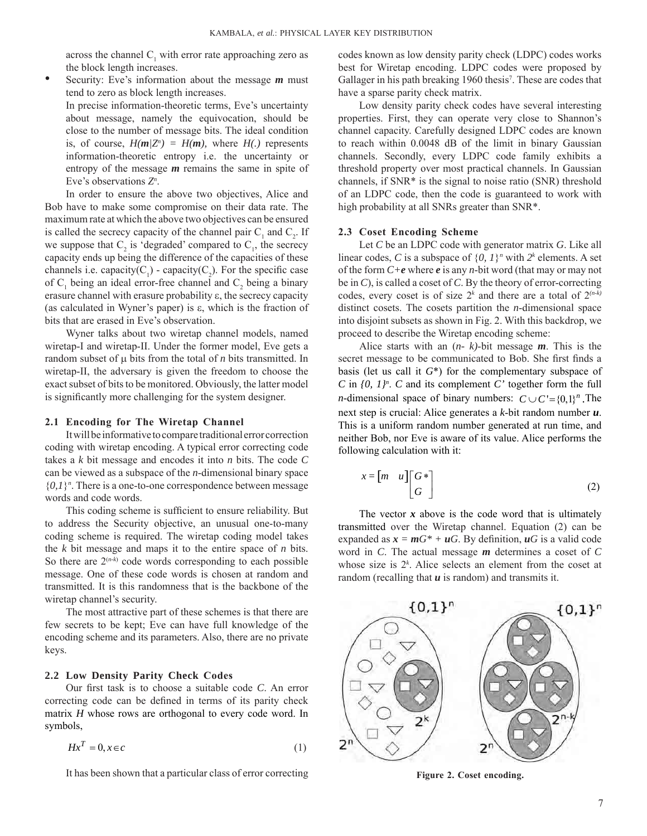across the channel  $C_1$  with error rate approaching zero as the block length increases.

• Security: Eve's information about the message *m* must tend to zero as block length increases.

 In precise information-theoretic terms, Eve's uncertainty about message, namely the equivocation, should be close to the number of message bits. The ideal condition is, of course,  $H(m|Z^n) = H(m)$ , where  $H(.)$  represents information-theoretic entropy i.e. the uncertainty or entropy of the message *m* remains the same in spite of Eve's observations *Zn* .

In order to ensure the above two objectives, Alice and Bob have to make some compromise on their data rate. The maximum rate at which the above two objectives can be ensured is called the secrecy capacity of the channel pair  $C_1$  and  $C_2$ . If we suppose that  $C_2$  is 'degraded' compared to  $C_1$ , the secrecy capacity ends up being the difference of the capacities of these channels i.e. capacity( $C_1$ ) - capacity( $C_2$ ). For the specific case of  $C_1$  being an ideal error-free channel and  $C_2$  being a binary erasure channel with erasure probability ε, the secrecy capacity (as calculated in Wyner's paper) is ε, which is the fraction of bits that are erased in Eve's observation.

Wyner talks about two wiretap channel models, named wiretap-I and wiretap-II. Under the former model, Eve gets a random subset of µ bits from the total of *n* bits transmitted. In wiretap-II, the adversary is given the freedom to choose the exact subset of bits to be monitored. Obviously, the latter model is significantly more challenging for the system designer.

#### **2.1 Encoding for The Wiretap Channel**

It will be informative to compare traditional error correction coding with wiretap encoding. A typical error correcting code takes a *k* bit message and encodes it into *n* bits. The code *C* can be viewed as a subspace of the *n*-dimensional binary space  $\{0,1\}$ <sup>n</sup>. There is a one-to-one correspondence between message words and code words.

This coding scheme is sufficient to ensure reliability. But to address the Security objective, an unusual one-to-many coding scheme is required. The wiretap coding model takes the *k* bit message and maps it to the entire space of *n* bits. So there are  $2^{(n-k)}$  code words corresponding to each possible message. One of these code words is chosen at random and transmitted. It is this randomness that is the backbone of the wiretap channel's security.

The most attractive part of these schemes is that there are few secrets to be kept; Eve can have full knowledge of the encoding scheme and its parameters. Also, there are no private keys.

#### **2.2 Low Density Parity Check Codes**

Our first task is to choose a suitable code *C*. An error correcting code can be defined in terms of its parity check matrix *H* whose rows are orthogonal to every code word. In symbols,

$$
Hx^T = 0, x \in c \tag{1}
$$

It has been shown that a particular class of error correcting

codes known as low density parity check (LDPC) codes works best for Wiretap encoding. LDPC codes were proposed by Gallager in his path breaking 1960 thesis<sup>7</sup>. These are codes that have a sparse parity check matrix.

Low density parity check codes have several interesting properties. First, they can operate very close to Shannon's channel capacity. Carefully designed LDPC codes are known to reach within 0.0048 dB of the limit in binary Gaussian channels. Secondly, every LDPC code family exhibits a threshold property over most practical channels. In Gaussian channels, if SNR\* is the signal to noise ratio (SNR) threshold of an LDPC code, then the code is guaranteed to work with high probability at all SNRs greater than SNR\*.

#### **2.3 Coset Encoding Scheme**

Let *C* be an LDPC code with generator matrix *G*. Like all linear codes, *C* is a subspace of  $\{0, 1\}$ <sup>n</sup> with  $2^k$  elements. A set of the form *C+e* where *e* is any *n*-bit word (that may or may not be in *C*), is called a coset of *C*. By the theory of error-correcting codes, every coset is of size  $2^k$  and there are a total of  $2^{(n-k)}$ distinct cosets. The cosets partition the *n*-dimensional space into disjoint subsets as shown in Fig. 2. With this backdrop, we proceed to describe the Wiretap encoding scheme:

Alice starts with an (*n- k)*-bit message *m*. This is the secret message to be communicated to Bob. She first finds a basis (let us call it *G*\*) for the complementary subspace of *C* in  $\{0, 1\}^n$ . *C* and its complement *C'* together form the full *n*-dimensional space of binary numbers:  $C \cup C' = \{0,1\}^n$ . The next step is crucial: Alice generates a *k*-bit random number *u*. This is a uniform random number generated at run time, and neither Bob, nor Eve is aware of its value. Alice performs the following calculation with it:

$$
x = \begin{bmatrix} m & u \end{bmatrix} \begin{bmatrix} G^* \\ G \end{bmatrix}
$$
 (2)

The vector  $x$  above is the code word that is ultimately transmitted over the Wiretap channel. Equation (2) can be expanded as  $x = mG^* + uG$ . By definition,  $uG$  is a valid code word in *C*. The actual message *m* determines a coset of *C* whose size is  $2<sup>k</sup>$ . Alice selects an element from the coset at random (recalling that *u* is random) and transmits it.



**Figure 2. Coset encoding.**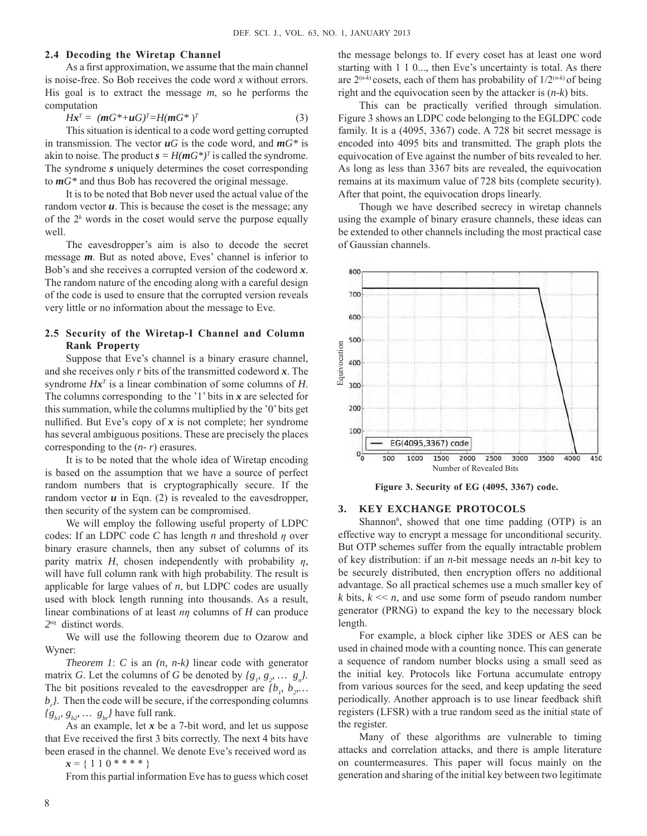#### **2.4 Decoding the Wiretap Channel**

As a first approximation, we assume that the main channel is noise-free. So Bob receives the code word *x* without errors. His goal is to extract the message *m*, so he performs the computation

$$
Hx^T = (mG^* + uG)^T = H(mG^*)^T \tag{3}
$$

This situation is identical to a code word getting corrupted in transmission. The vector  $\mathbf{u}G$  is the code word, and  $\mathbf{m}G^*$  is akin to noise. The product  $\mathbf{s} = H(\mathbf{m}G^*)^T$  is called the syndrome. The syndrome *s* uniquely determines the coset corresponding to *mG\** and thus Bob has recovered the original message.

It is to be noted that Bob never used the actual value of the random vector *u*. This is because the coset is the message; any of the 2*<sup>k</sup>* words in the coset would serve the purpose equally well.

The eavesdropper's aim is also to decode the secret message *m*. But as noted above, Eves' channel is inferior to Bob's and she receives a corrupted version of the codeword *x*. The random nature of the encoding along with a careful design of the code is used to ensure that the corrupted version reveals very little or no information about the message to Eve.

## **2.5 Security of the Wiretap-I Channel and Column Rank Property**

Suppose that Eve's channel is a binary erasure channel, and she receives only *r* bits of the transmitted codeword *x*. The syndrome  $Hx^T$  is a linear combination of some columns of  $H$ . The columns corresponding to the '1' bits in *x* are selected for thissummation, while the columns multiplied by the '0'bits get nullified. But Eve's copy of  $x$  is not complete; her syndrome has several ambiguous positions. These are precisely the places corresponding to the (*n- r*) erasures.

It is to be noted that the whole idea of Wiretap encoding is based on the assumption that we have a source of perfect random numbers that is cryptographically secure. If the random vector  $u$  in Eqn. (2) is revealed to the eavesdropper, then security of the system can be compromised.

We will employ the following useful property of LDPC codes: If an LDPC code *C* has length *n* and threshold *η* over binary erasure channels, then any subset of columns of its parity matrix  $H$ , chosen independently with probability  $\eta$ , will have full column rank with high probability. The result is applicable for large values of *n*, but LDPC codes are usually used with block length running into thousands. As a result, linear combinations of at least *nη* columns of *H* can produce *2nη* distinct words.

We will use the following theorem due to Ozarow and Wyner:

*Theorem 1*: *C* is an *(n, n-k)* linear code with generator matrix *G*. Let the columns of *G* be denoted by  ${g_1, g_2, \ldots, g_n}$ . The bit positions revealed to the eavesdropper are  ${b_p, b_2, \dots}$ *. Then the code will be secure, if the corresponding columns*  ${g_{bP} g_{b2}, \ldots g_{br}$  have full rank.

As an example, let *x* be a 7-bit word, and let us suppose that Eve received the first 3 bits correctly. The next 4 bits have been erased in the channel. We denote Eve's received word as

 $x = \{ 1 \ 1 \ 0 * * * * * \}$ 

From this partial information Eve has to guess which coset

the message belongs to. If every coset has at least one word starting with 1 1 0..., then Eve's uncertainty is total. As there are  $2^{(n-k)}$  cosets, each of them has probability of  $1/2^{(n-k)}$  of being right and the equivocation seen by the attacker is (*n-k*) bits.

This can be practically verified through simulation. Figure 3 shows an LDPC code belonging to the EGLDPC code family. It is a (4095, 3367) code. A 728 bit secret message is encoded into 4095 bits and transmitted. The graph plots the equivocation of Eve against the number of bits revealed to her. As long as less than 3367 bits are revealed, the equivocation remains at its maximum value of 728 bits (complete security). After that point, the equivocation drops linearly.

Though we have described secrecy in wiretap channels using the example of binary erasure channels, these ideas can be extended to other channels including the most practical case of Gaussian channels.



**Figure 3. Security of EG (4095, 3367) code.**

#### **3. KEY EXCHANGE PROTOCOLS**

Shannon<sup>6</sup>, showed that one time padding (OTP) is an effective way to encrypt a message for unconditional security. But OTP schemes suffer from the equally intractable problem of key distribution: if an *n*-bit message needs an *n*-bit key to be securely distributed, then encryption offers no additional advantage. So all practical schemes use a much smaller key of *k* bits,  $k \ll n$ , and use some form of pseudo random number generator (PRNG) to expand the key to the necessary block length.

For example, a block cipher like 3DES or AES can be used in chained mode with a counting nonce. This can generate a sequence of random number blocks using a small seed as the initial key. Protocols like Fortuna accumulate entropy from various sources for the seed, and keep updating the seed periodically. Another approach is to use linear feedback shift registers (LFSR) with a true random seed as the initial state of the register.

Many of these algorithms are vulnerable to timing attacks and correlation attacks, and there is ample literature on countermeasures. This paper will focus mainly on the generation and sharing of the initial key between two legitimate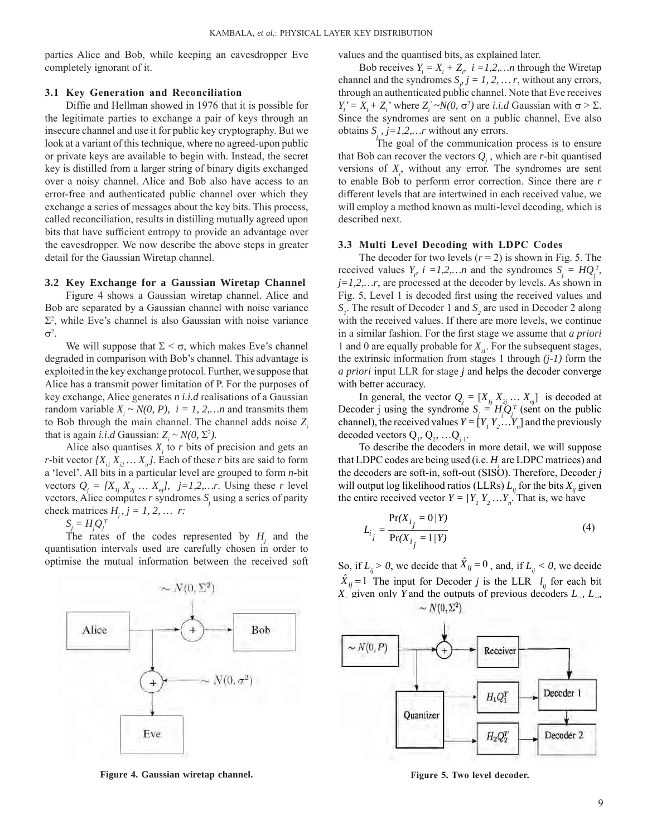parties Alice and Bob, while keeping an eavesdropper Eve completely ignorant of it.

## **3.1 Key Generation and Reconciliation**

Diffie and Hellman showed in 1976 that it is possible for the legitimate parties to exchange a pair of keys through an insecure channel and use it for public key cryptography. But we look at a variant of this technique, where no agreed-upon public or private keys are available to begin with. Instead, the secret key is distilled from a larger string of binary digits exchanged over a noisy channel. Alice and Bob also have access to an error-free and authenticated public channel over which they exchange a series of messages about the key bits. This process, called reconciliation, results in distilling mutually agreed upon bits that have sufficient entropy to provide an advantage over the eavesdropper. We now describe the above steps in greater detail for the Gaussian Wiretap channel.

#### **3.2 Key Exchange for a Gaussian Wiretap Channel**

Figure 4 shows a Gaussian wiretap channel. Alice and Bob are separated by a Gaussian channel with noise variance  $\Sigma^2$ , while Eve's channel is also Gaussian with noise variance  $σ²$ .

We will suppose that  $\Sigma < \sigma$ , which makes Eve's channel degraded in comparison with Bob's channel. This advantage is exploited in the key exchange protocol. Further, we suppose that Alice has a transmit power limitation of P. For the purposes of key exchange, Alice generates *n i.i.d* realisations of a Gaussian random variable  $X_i \sim N(0, P)$ ,  $i = 1, 2, \dots n$  and transmits them to Bob through the main channel. The channel adds noise *Zi* that is again *i.i.d* Gaussian:  $Z_i \sim N(0, \Sigma^2)$ .

Alice also quantises  $X_i$  to  $r$  bits of precision and gets an *r*-bit vector  $[X_i, X_j, \ldots, X_j]$ . Each of these *r* bits are said to form a 'level'. All bits in a particular level are grouped to form *n*-bit vectors  $Q_j = [X_{1j} \ X_{2j} \dots X_{nj}]$ ,  $j=1,2,...r$ . Using these *r* level vectors, Alice computes  $r$  syndromes  $S_j$  using a series of parity check matrices  $H_i$ ,  $j = 1, 2, \dots r$ :

 $S_j = H_j Q_j^T$ 

The rates of the codes represented by  $H_j$  and the quantisation intervals used are carefully chosen in order to optimise the mutual information between the received soft



**Figure 4. Gaussian wiretap channel. Figure 5. Two level decoder.**

values and the quantised bits, as explained later.

Bob receives  $Y_i = X_i + Z_i$ ,  $i = 1, 2, \dots n$  through the Wiretap channel and the syndromes  $S_j$ ,  $j = 1, 2, \dots r$ , without any errors, through an authenticated public channel. Note that Eve receives  $Y_i' = X_i + Z_i'$  where  $Z_i' \sim N(0, \sigma^2)$  are *i.i.d* Gaussian with  $\sigma > \Sigma$ . Since the syndromes are sent on a public channel, Eve also obtains  $S_j$ ,  $j=1,2,...r$  without any errors.

The goal of the communication process is to ensure that Bob can recover the vectors  $Q_j$ , which are *r*-bit quantised versions of  $X_i$ , without any error. The syndromes are sent to enable Bob to perform error correction. Since there are *r* different levels that are intertwined in each received value, we will employ a method known as multi-level decoding, which is described next.

#### **3.3 Multi Level Decoding with LDPC Codes**

The decoder for two levels  $(r = 2)$  is shown in Fig. 5. The received values  $Y_i$ ,  $i = 1, 2, \dots n$  and the syndromes  $S_j = HQ_j^T$ , *j=1,2,…r*, are processed at the decoder by levels. As shown in Fig. 5, Level 1 is decoded first using the received values and  $S<sub>i</sub>$ . The result of Decoder 1 and  $S<sub>2</sub>$  are used in Decoder 2 along with the received values. If there are more levels, we continue in a similar fashion. For the first stage we assume that *a priori* 1 and 0 are equally probable for  $X_{ij}$ . For the subsequent stages, the extrinsic information from stages 1 through *(j-1)* form the *a priori* input LLR for stage *j* and helps the decoder converge with better accuracy.

In general, the vector  $Q_j = [X_{1j} \ X_{2j} \dots \ X_{nj}]$  is decoded at Decoder j using the syndrome  $S_j = H_j Q_j^T$  (sent on the public channel), the received values  $Y = [Y_1 Y_2 ... Y_n]$  and the previously decoded vectors  $Q_1, Q_2, ... Q_{j-1}$ .

To describe the decoders in more detail, we will suppose that LDPC codes are being used (i.e. *Hj* are LDPC matrices) and the decoders are soft-in, soft-out (SISO). Therefore, Decoder *j* will output log likelihood ratios (LLRs)  $L_{ij}$  for the bits  $X_{ij}$  given the entire received vector  $Y = [Y_1 Y_2 ... Y_n]$ . That is, we have

$$
L_{i_j} = \frac{\Pr(X_{i_j} = 0/Y)}{\Pr(X_{i_j} = 1/Y)}
$$
(4)

So, if  $L_i > 0$ , we decide that  $\hat{X}_{ij} = 0$ , and, if  $L_i < 0$ , we decide  $\hat{X}_{ij} = 1$  The input for Decoder *j* is the LLR  $l_{ij}$  for each bit *X<sub>ij</sub>* given only *Y* and the outputs of previous decoders *L<sub>in</sub> L<sub>in</sub>*  $\sim N(0, \Sigma^2)$ 

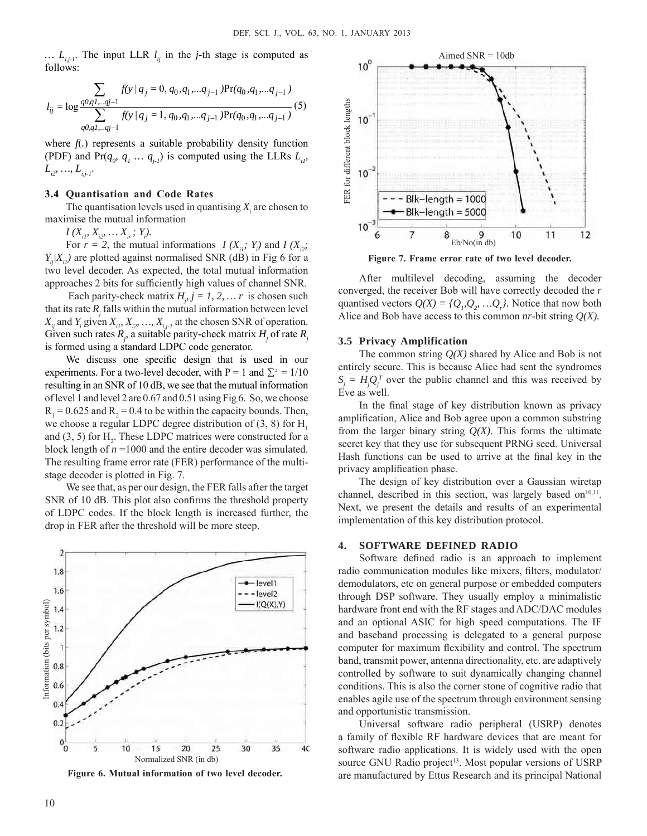...  $L_{i,j}.$  The input LLR  $l_{ij}$  in the *j*-th stage is computed as follows:

$$
l_{ij} = \log \frac{\sum_{q0,q1...qj-1} f(y/q_j = 0, q_0, q_1, \dots, q_{j-1}) \Pr(q_0, q_1, \dots, q_{j-1})}{\sum_{q0,q1...qj-1} f(y/q_j = 1, q_0, q_1, \dots, q_{j-1}) \Pr(q_0, q_1, \dots, q_{j-1})} (5)
$$

where  $f(.)$  represents a suitable probability density function (PDF) and Pr( $q_{\rho}$ ,  $q_1$  ...,  $q_{j_1}$ ) is computed using the LLRs  $L_{i_1}$ ,  $L_{i2}, \ldots, L_{i,j+1}$ .

#### **3.4 Quantisation and Code Rates**

The quantisation levels used in quantising  $X_i$  are chosen to maximise the mutual information

 $I(X_{i1}, X_{i2}, \ldots X_{i}, Y_{i}).$ 

For  $r = 2$ , the mutual informations  $I(X_{ii}; Y_i)$  and  $I(X_{ii}; Y_i)$  $Y_i/X_i$ ) are plotted against normalised SNR (dB) in Fig 6 for a two level decoder. As expected, the total mutual information approaches 2 bits for sufficiently high values of channel SNR.

Each parity-check matrix  $H_j$   $j = 1, 2, \dots r$  is chosen such that its rate  $R_j$  falls within the mutual information between level  $X_{ij}$  and  $Y_i$  given  $X_{i1}$ ,  $X_{i2}$ , ...,  $X_{i,j-1}$  at the chosen SNR of operation. Given such rates  $R_j$ , a suitable parity-check matrix  $H_j$  of rate  $R_j$ is formed using a standard LDPC code generator.

We discuss one specific design that is used in our experiments. For a two-level decoder, with  $P = 1$  and  $\Sigma^2 = 1/10$ resulting in an SNR of 10 dB, we see that the mutual information of level 1 and level 2 are 0.67 and 0.51 using Fig 6. So, we choose  $R_1 = 0.625$  and  $R_2 = 0.4$  to be within the capacity bounds. Then, we choose a regular LDPC degree distribution of  $(3, 8)$  for H<sub>1</sub> and  $(3, 5)$  for  $H_2$ . These LDPC matrices were constructed for a block length of  $n = 1000$  and the entire decoder was simulated. The resulting frame error rate (FER) performance of the multistage decoder is plotted in Fig. 7.

We see that, as per our design, the FER falls after the target SNR of 10 dB. This plot also confirms the threshold property of LDPC codes. If the block length is increased further, the drop in FER after the threshold will be more steep.



**Figure 6. Mutual information of two level decoder.**



**Figure 7. Frame error rate of two level decoder.**

After multilevel decoding, assuming the decoder converged, the receiver Bob will have correctly decoded the *r* quantised vectors  $Q(X) = \{Q_p, Q_p, \dots, Q_p\}$ . Notice that now both Alice and Bob have access to this common *nr*-bit string *Q(X).*

#### **3.5 Privacy Amplification**

The common string *Q(X)* shared by Alice and Bob is not entirely secure. This is because Alice had sent the syndromes  $S_j = H_j Q_j^T$  over the public channel and this was received by Eve as well.

In the final stage of key distribution known as privacy amplification, Alice and Bob agree upon a common substring from the larger binary string  $Q(X)$ . This forms the ultimate secret key that they use for subsequent PRNG seed. Universal Hash functions can be used to arrive at the final key in the privacy amplification phase.

The design of key distribution over a Gaussian wiretap channel, described in this section, was largely based on $10,11$ . Next, we present the details and results of an experimental implementation of this key distribution protocol.

#### **4. SOFTWARE DEFINED RADIO**

Software defined radio is an approach to implement radio communication modules like mixers, filters, modulator/ demodulators, etc on general purpose or embedded computers through DSP software. They usually employ a minimalistic hardware front end with the RF stages and ADC/DAC modules and an optional ASIC for high speed computations. The IF and baseband processing is delegated to a general purpose computer for maximum flexibility and control. The spectrum band, transmit power, antenna directionality, etc. are adaptively controlled by software to suit dynamically changing channel conditions. This is also the corner stone of cognitive radio that enables agile use of the spectrum through environment sensing and opportunistic transmission.

Universal software radio peripheral (USRP) denotes a family of flexible RF hardware devices that are meant for software radio applications. It is widely used with the open source GNU Radio project<sup>13</sup>. Most popular versions of USRP are manufactured by Ettus Research and its principal National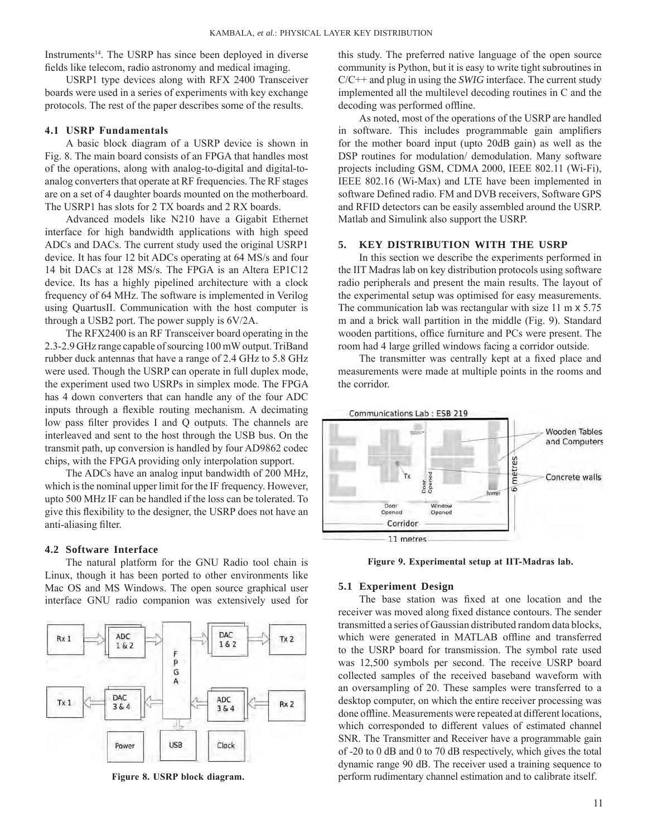Instruments<sup>14</sup>. The USRP has since been deployed in diverse fields like telecom, radio astronomy and medical imaging.

USRP1 type devices along with RFX 2400 Transceiver boards were used in a series of experiments with key exchange protocols. The rest of the paper describes some of the results.

## **4.1 USRP Fundamentals**

A basic block diagram of a USRP device is shown in Fig. 8. The main board consists of an FPGA that handles most of the operations, along with analog-to-digital and digital-toanalog converters that operate at RF frequencies. The RF stages are on a set of 4 daughter boards mounted on the motherboard. The USRP1 has slots for 2 TX boards and 2 RX boards.

Advanced models like N210 have a Gigabit Ethernet interface for high bandwidth applications with high speed ADCs and DACs. The current study used the original USRP1 device. It has four 12 bit ADCs operating at 64 MS/s and four 14 bit DACs at 128 MS/s. The FPGA is an Altera EP1C12 device. Its has a highly pipelined architecture with a clock frequency of 64 MHz. The software is implemented in Verilog using QuartusII. Communication with the host computer is through a USB2 port. The power supply is 6V/2A.

The RFX2400 is an RF Transceiver board operating in the 2.3-2.9 GHz range capable ofsourcing 100mWoutput.TriBand rubber duck antennas that have a range of 2.4 GHz to 5.8 GHz were used. Though the USRP can operate in full duplex mode, the experiment used two USRPs in simplex mode. The FPGA has 4 down converters that can handle any of the four ADC inputs through a flexible routing mechanism. A decimating low pass filter provides I and Q outputs. The channels are interleaved and sent to the host through the USB bus. On the transmit path, up conversion is handled by four AD9862 codec chips, with the FPGA providing only interpolation support.

The ADCs have an analog input bandwidth of 200 MHz, which is the nominal upper limit for the IF frequency. However, upto 500 MHz IF can be handled if the loss can be tolerated. To give this flexibility to the designer, the USRP does not have an anti-aliasing filter.

#### **4.2 Software Interface**

The natural platform for the GNU Radio tool chain is Linux, though it has been ported to other environments like Mac OS and MS Windows. The open source graphical user interface GNU radio companion was extensively used for



 **Figure 8. USRP block diagram.**

this study. The preferred native language of the open source community is Python, but it is easy to write tight subroutines in C/C++ and plug in using the *SWIG* interface. The current study implemented all the multilevel decoding routines in C and the decoding was performed offline.

As noted, most of the operations of the USRP are handled in software. This includes programmable gain amplifiers for the mother board input (upto 20dB gain) as well as the DSP routines for modulation/ demodulation. Many software projects including GSM, CDMA 2000, IEEE 802.11 (Wi-Fi), IEEE 802.16 (Wi-Max) and LTE have been implemented in software Defined radio. FM and DVB receivers, Software GPS and RFID detectors can be easily assembled around the USRP. Matlab and Simulink also support the USRP.

#### **5. KEY DISTRIBUTION WITH THE USRP**

In this section we describe the experiments performed in the IIT Madras lab on key distribution protocols using software radio peripherals and present the main results. The layout of the experimental setup was optimised for easy measurements. The communication lab was rectangular with size 11 m x 5.75 m and a brick wall partition in the middle (Fig. 9). Standard wooden partitions, office furniture and PCs were present. The room had 4 large grilled windows facing a corridor outside.

The transmitter was centrally kept at a fixed place and measurements were made at multiple points in the rooms and the corridor.



**Figure 9. Experimental setup at IIT-Madras lab.**

## **5.1 Experiment Design**

The base station was fixed at one location and the receiver was moved along fixed distance contours. The sender transmitted a series of Gaussian distributed random data blocks, which were generated in MATLAB offline and transferred to the USRP board for transmission. The symbol rate used was 12,500 symbols per second. The receive USRP board collected samples of the received baseband waveform with an oversampling of 20. These samples were transferred to a desktop computer, on which the entire receiver processing was done offline. Measurements were repeated at different locations, which corresponded to different values of estimated channel SNR. The Transmitter and Receiver have a programmable gain of -20 to 0 dB and 0 to 70 dB respectively, which gives the total dynamic range 90 dB. The receiver used a training sequence to perform rudimentary channel estimation and to calibrate itself.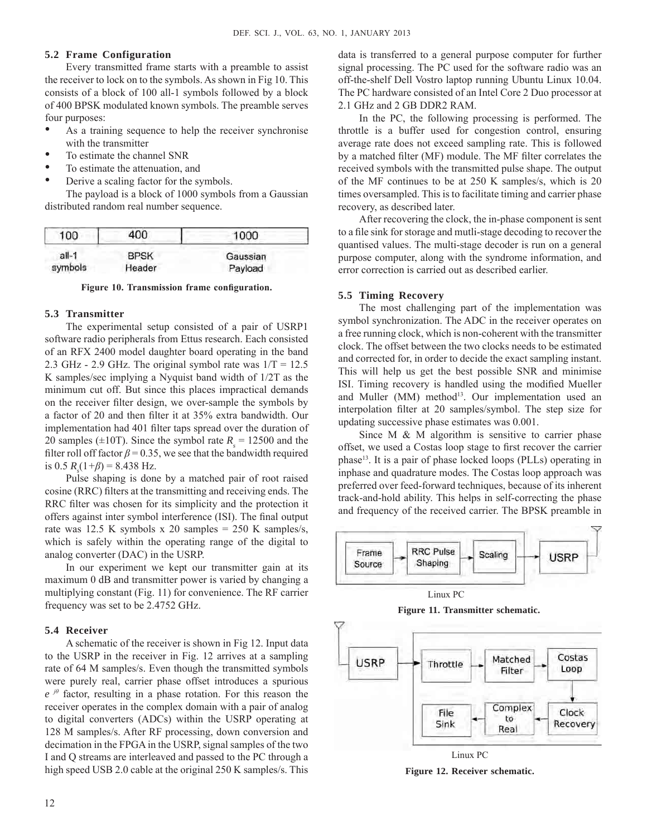## **5.2 Frame Configuration**

Every transmitted frame starts with a preamble to assist the receiver to lock on to the symbols. As shown in Fig 10. This consists of a block of 100 all-1 symbols followed by a block of 400 BPSK modulated known symbols. The preamble serves four purposes:

- As a training sequence to help the receiver synchronise with the transmitter
- To estimate the channel SNR
- To estimate the attenuation, and
- Derive a scaling factor for the symbols.

The payload is a block of 1000 symbols from a Gaussian distributed random real number sequence.

| 100     | 400         | 1000     |
|---------|-------------|----------|
| $all-1$ | <b>BPSK</b> | Gaussian |
| symbols | Header      | Payload  |

**Figure 10. Transmission frame configuration.**

#### **5.3 Transmitter**

The experimental setup consisted of a pair of USRP1 software radio peripherals from Ettus research. Each consisted of an RFX 2400 model daughter board operating in the band 2.3 GHz - 2.9 GHz. The original symbol rate was  $1/T = 12.5$ K samples/sec implying a Nyquist band width of 1/2T as the minimum cut off. But since this places impractical demands on the receiver filter design, we over-sample the symbols by a factor of 20 and then filter it at 35% extra bandwidth. Our implementation had 401 filter taps spread over the duration of 20 samples ( $\pm 10$ T). Since the symbol rate  $R_s = 12500$  and the filter roll off factor  $\beta$  = 0.35, we see that the bandwidth required is 0.5  $R_s(1+\beta) = 8.438$  Hz.

Pulse shaping is done by a matched pair of root raised cosine (RRC) filters at the transmitting and receiving ends. The RRC filter was chosen for its simplicity and the protection it offers against inter symbol interference (ISI). The final output rate was 12.5 K symbols x 20 samples = 250 K samples/s, which is safely within the operating range of the digital to analog converter (DAC) in the USRP.

In our experiment we kept our transmitter gain at its maximum 0 dB and transmitter power is varied by changing a multiplying constant (Fig. 11) for convenience. The RF carrier frequency was set to be 2.4752 GHz.

#### **5.4 Receiver**

A schematic of the receiver is shown in Fig 12. Input data to the USRP in the receiver in Fig. 12 arrives at a sampling rate of 64 M samples/s. Even though the transmitted symbols were purely real, carrier phase offset introduces a spurious *e jθ* factor, resulting in a phase rotation. For this reason the receiver operates in the complex domain with a pair of analog to digital converters (ADCs) within the USRP operating at 128 M samples/s. After RF processing, down conversion and decimation in the FPGA in the USRP, signal samples of the two I and Q streams are interleaved and passed to the PC through a high speed USB 2.0 cable at the original 250 K samples/s. This

data is transferred to a general purpose computer for further signal processing. The PC used for the software radio was an off-the-shelf Dell Vostro laptop running Ubuntu Linux 10.04. The PC hardware consisted of an Intel Core 2 Duo processor at 2.1 GHz and 2 GB DDR2 RAM.

In the PC, the following processing is performed. The throttle is a buffer used for congestion control, ensuring average rate does not exceed sampling rate. This is followed by a matched filter (MF) module. The MF filter correlates the received symbols with the transmitted pulse shape. The output of the MF continues to be at 250 K samples/s, which is 20 times oversampled. This is to facilitate timing and carrier phase recovery, as described later.

After recovering the clock, the in-phase component is sent to a file sink for storage and mutli-stage decoding to recover the quantised values. The multi-stage decoder is run on a general purpose computer, along with the syndrome information, and error correction is carried out as described earlier.

# **5.5 Timing Recovery**

The most challenging part of the implementation was symbol synchronization. The ADC in the receiver operates on a free running clock, which is non-coherent with the transmitter clock. The offset between the two clocks needs to be estimated and corrected for, in order to decide the exact sampling instant. This will help us get the best possible SNR and minimise ISI. Timing recovery is handled using the modified Mueller and Muller (MM) method<sup>13</sup>. Our implementation used an interpolation filter at 20 samples/symbol. The step size for updating successive phase estimates was 0.001.

Since M  $\&$  M algorithm is sensitive to carrier phase offset, we used a Costas loop stage to first recover the carrier phase13. It is a pair of phase locked loops (PLLs) operating in inphase and quadrature modes. The Costas loop approach was preferred over feed-forward techniques, because of its inherent track-and-hold ability. This helps in self-correcting the phase and frequency of the received carrier. The BPSK preamble in



**Figure 11. Transmitter schematic.**



**Figure 12. Receiver schematic.**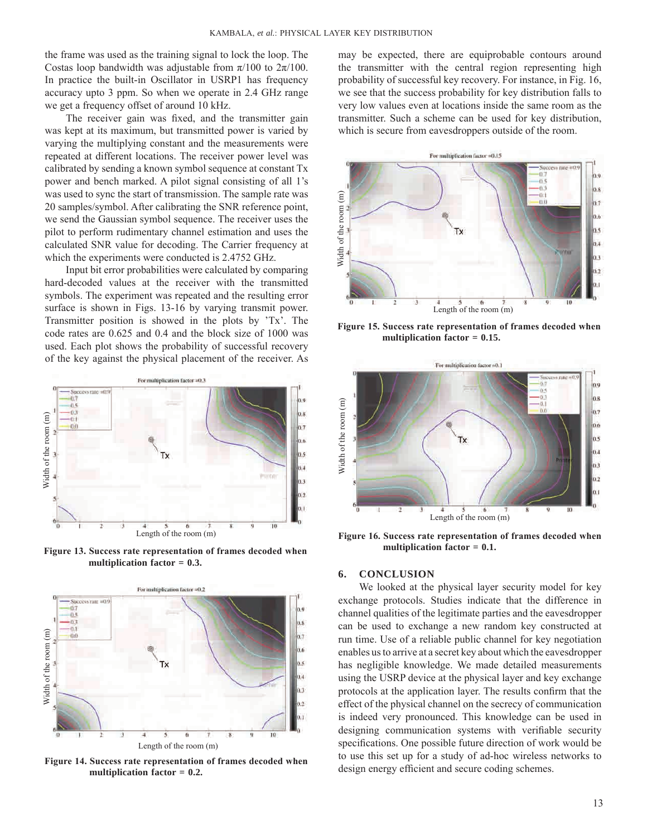the frame was used as the training signal to lock the loop. The Costas loop bandwidth was adjustable from  $\pi/100$  to  $2\pi/100$ . In practice the built-in Oscillator in USRP1 has frequency accuracy upto 3 ppm. So when we operate in 2.4 GHz range we get a frequency offset of around 10 kHz.

The receiver gain was fixed, and the transmitter gain was kept at its maximum, but transmitted power is varied by varying the multiplying constant and the measurements were repeated at different locations. The receiver power level was calibrated by sending a known symbol sequence at constant Tx power and bench marked. A pilot signal consisting of all 1's was used to sync the start of transmission. The sample rate was 20 samples/symbol. After calibrating the SNR reference point, we send the Gaussian symbol sequence. The receiver uses the pilot to perform rudimentary channel estimation and uses the calculated SNR value for decoding. The Carrier frequency at which the experiments were conducted is 2.4752 GHz.

Input bit error probabilities were calculated by comparing hard-decoded values at the receiver with the transmitted symbols. The experiment was repeated and the resulting error surface is shown in Figs. 13-16 by varying transmit power. Transmitter position is showed in the plots by 'Tx'. The code rates are 0.625 and 0.4 and the block size of 1000 was used. Each plot shows the probability of successful recovery of the key against the physical placement of the receiver. As



**Figure 13. Success rate representation of frames decoded when multiplication factor = 0.3.**



**Figure 14. Success rate representation of frames decoded when multiplication factor = 0.2.**

may be expected, there are equiprobable contours around the transmitter with the central region representing high probability of successful key recovery. For instance, in Fig. 16, we see that the success probability for key distribution falls to very low values even at locations inside the same room as the transmitter. Such a scheme can be used for key distribution, which is secure from eavesdroppers outside of the room.



**Figure 15. Success rate representation of frames decoded when multiplication factor = 0.15.**



**Figure 16. Success rate representation of frames decoded when multiplication factor = 0.1.**

## **6. CONCLUSION**

We looked at the physical layer security model for key exchange protocols. Studies indicate that the difference in channel qualities of the legitimate parties and the eavesdropper can be used to exchange a new random key constructed at run time. Use of a reliable public channel for key negotiation enables us to arrive at a secret key about which the eavesdropper has negligible knowledge. We made detailed measurements using the USRP device at the physical layer and key exchange protocols at the application layer. The results confirm that the effect of the physical channel on the secrecy of communication is indeed very pronounced. This knowledge can be used in designing communication systems with verifiable security specifications. One possible future direction of work would be to use this set up for a study of ad-hoc wireless networks to design energy efficient and secure coding schemes.